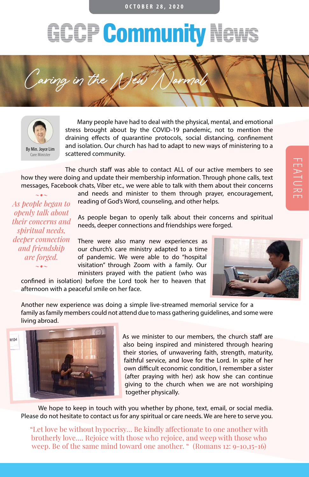## **OCTOBER 28, 2020**

## **GCCP Community News**





Many people have had to deal with the physical, mental, and emotional stress brought about by the COVID-19 pandemic, not to mention the draining effects of quarantine protocols, social distancing, confinement and isolation. Our church has had to adapt to new ways of ministering to a scattered community.

The church staff was able to contact ALL of our active members to see how they were doing and update their membership information. Through phone calls, text messages, Facebook chats, Viber etc., we were able to talk with them about their concerns

reading of God's Word, counseling, and other helps.

FEATURE

*~•~ As people began to openly talk about their concerns and spiritual needs, deeper connection and friendship are forged. ~•~*

As people began to openly talk about their concerns and spiritual needs, deeper connections and friendships were forged.

and needs and minister to them through prayer, encouragement,

There were also many new experiences as our church's care ministry adapted to a time of pandemic. We were able to do "hospital visitation" through Zoom with a family. Our ministers prayed with the patient (who was

confined in isolation) before the Lord took her to heaven that afternoon with a peaceful smile on her face.



Another new experience was doing a simple live-streamed memorial service for a family as family members could not attend due to mass gathering guidelines, and some were living abroad.



As we minister to our members, the church staff are also being inspired and ministered through hearing their stories, of unwavering faith, strength, maturity, faithful service, and love for the Lord. In spite of her own difficult economic condition, I remember a sister (after praying with her) ask how she can continue giving to the church when we are not worshiping together physically.

We hope to keep in touch with you whether by phone, text, email, or social media. Please do not hesitate to contact us for any spiritual or care needs. We are here to serve you.

"Let love be without hypocrisy… Be kindly affectionate to one another with brotherly love…. Rejoice with those who rejoice, and weep with those who weep. Be of the same mind toward one another. " (Romans 12: 9-10,15-16)